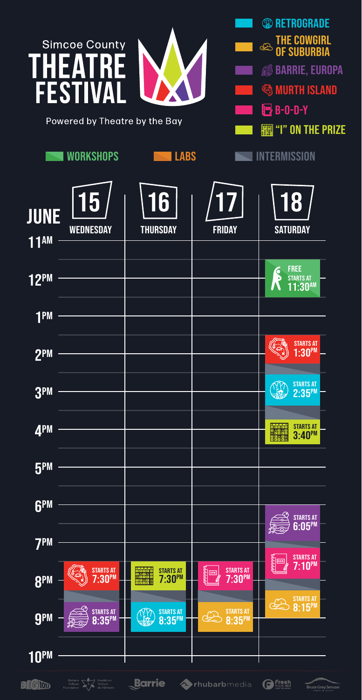|                        | <b>Simcoe County</b><br><b>FESTIVA</b><br>Powered by Theatre by the Bay<br><b>WORKSHOPS</b> | <b>LABS</b>                         |                          | <b><sup>12</sup></b> RETROGRADE<br>THE COWGIRL<br>Of Suburbia<br>$\bigoplus$<br><b>BARRIE, EUROPA</b><br>€<br><b>MURTH ISLAND</b><br><b>包 B-0-D-Y</b><br>"I" ON THE PRIZE<br>INTERMISSION |
|------------------------|---------------------------------------------------------------------------------------------|-------------------------------------|--------------------------|-------------------------------------------------------------------------------------------------------------------------------------------------------------------------------------------|
| <b>JUNE</b><br>$11$ AM | <b>WEDNESDAY</b>                                                                            | 6<br><b>THURSDAY</b>                | <b>FRIDAY</b>            | 8<br><b>SATURDAY</b>                                                                                                                                                                      |
| <b>12PM</b>            |                                                                                             |                                     |                          | <b>FREE</b><br>Ś<br><b>STARTS AT</b><br>$1:30^{AM}$                                                                                                                                       |
| <b>TPM</b>             |                                                                                             |                                     |                          |                                                                                                                                                                                           |
| 2 <sub>PM</sub>        |                                                                                             |                                     |                          | <b>STARTS AT</b><br>$1:30^{PM}$                                                                                                                                                           |
| 3 <sub>bm</sub>        |                                                                                             |                                     |                          | <b>STARTS AT</b><br>$2:35^{PM}$                                                                                                                                                           |
| 4PM                    |                                                                                             |                                     |                          | <b>STARTS AT</b><br><b>Daria</b><br>Baia<br>$3:40^{PM}$                                                                                                                                   |
| <b>5PM</b>             |                                                                                             |                                     |                          |                                                                                                                                                                                           |
| <b>GPM</b>             |                                                                                             |                                     |                          | <b>STARTS AT</b><br>$6:05^{PM}$                                                                                                                                                           |
| <b>7PM</b>             |                                                                                             |                                     |                          | STARTS AT<br>7:10PM<br>DERNE                                                                                                                                                              |
| 8PM                    | STARTS AT<br>7:30PM                                                                         | STARTS AT<br>7:30PM                 | STARTS AT<br>7:30PM<br>È | STARTS AT 8:15PM<br>برتی                                                                                                                                                                  |
| <b>g</b> PM            | STARTS AT 8:35PM                                                                            | STARTS AT 8:35PM<br>$\frac{11}{10}$ | STARTS AT 8:35PM         |                                                                                                                                                                                           |
| <b>10PM</b>            |                                                                                             |                                     |                          |                                                                                                                                                                                           |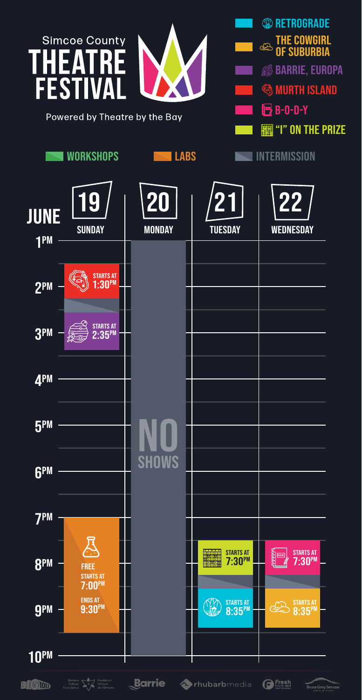

Bruce Grey Simcoe